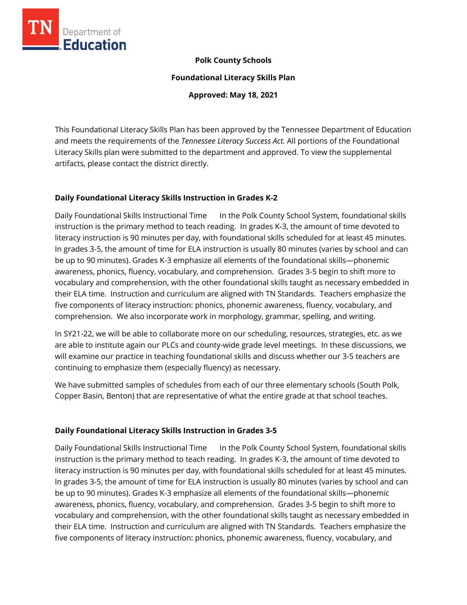

### **Polk County Schools**

**Foundational Literacy Skills Plan**

**Approved: May 18, 2021**

This Foundational Literacy Skills Plan has been approved by the Tennessee Department of Education and meets the requirements of the *Tennessee Literacy Success Act.* All portions of the Foundational Literacy Skills plan were submitted to the department and approved. To view the supplemental artifacts, please contact the district directly.

### **Daily Foundational Literacy Skills Instruction in Grades K-2**

Daily Foundational Skills Instructional Time In the Polk County School System, foundational skills instruction is the primary method to teach reading. In grades K-3, the amount of time devoted to literacy instruction is 90 minutes per day, with foundational skills scheduled for at least 45 minutes. In grades 3-5, the amount of time for ELA instruction is usually 80 minutes (varies by school and can be up to 90 minutes). Grades K-3 emphasize all elements of the foundational skills—phonemic awareness, phonics, fluency, vocabulary, and comprehension. Grades 3-5 begin to shift more to vocabulary and comprehension, with the other foundational skills taught as necessary embedded in their ELA time. Instruction and curriculum are aligned with TN Standards. Teachers emphasize the five components of literacy instruction: phonics, phonemic awareness, fluency, vocabulary, and comprehension. We also incorporate work in morphology, grammar, spelling, and writing.

In SY21-22, we will be able to collaborate more on our scheduling, resources, strategies, etc. as we are able to institute again our PLCs and county-wide grade level meetings. In these discussions, we will examine our practice in teaching foundational skills and discuss whether our 3-5 teachers are continuing to emphasize them (especially fluency) as necessary.

We have submitted samples of schedules from each of our three elementary schools (South Polk, Copper Basin, Benton) that are representative of what the entire grade at that school teaches.

### **Daily Foundational Literacy Skills Instruction in Grades 3-5**

Daily Foundational Skills Instructional Time In the Polk County School System, foundational skills instruction is the primary method to teach reading. In grades K-3, the amount of time devoted to literacy instruction is 90 minutes per day, with foundational skills scheduled for at least 45 minutes. In grades 3-5, the amount of time for ELA instruction is usually 80 minutes (varies by school and can be up to 90 minutes). Grades K-3 emphasize all elements of the foundational skills—phonemic awareness, phonics, fluency, vocabulary, and comprehension. Grades 3-5 begin to shift more to vocabulary and comprehension, with the other foundational skills taught as necessary embedded in their ELA time. Instruction and curriculum are aligned with TN Standards. Teachers emphasize the five components of literacy instruction: phonics, phonemic awareness, fluency, vocabulary, and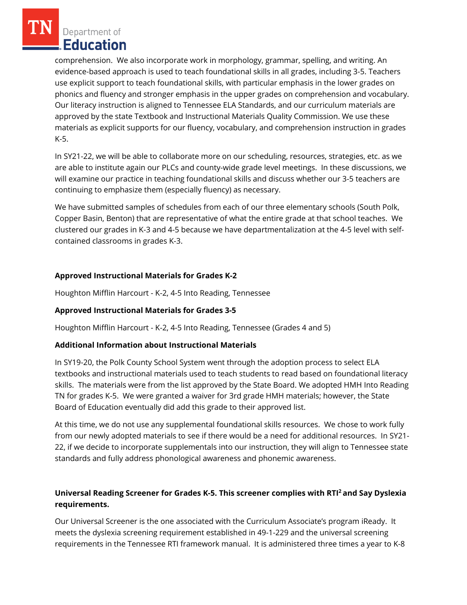Department of Education

comprehension. We also incorporate work in morphology, grammar, spelling, and writing. An evidence-based approach is used to teach foundational skills in all grades, including 3-5. Teachers use explicit support to teach foundational skills, with particular emphasis in the lower grades on phonics and fluency and stronger emphasis in the upper grades on comprehension and vocabulary. Our literacy instruction is aligned to Tennessee ELA Standards, and our curriculum materials are approved by the state Textbook and Instructional Materials Quality Commission. We use these materials as explicit supports for our fluency, vocabulary, and comprehension instruction in grades K-5.

In SY21-22, we will be able to collaborate more on our scheduling, resources, strategies, etc. as we are able to institute again our PLCs and county-wide grade level meetings. In these discussions, we will examine our practice in teaching foundational skills and discuss whether our 3-5 teachers are continuing to emphasize them (especially fluency) as necessary.

We have submitted samples of schedules from each of our three elementary schools (South Polk, Copper Basin, Benton) that are representative of what the entire grade at that school teaches. We clustered our grades in K-3 and 4-5 because we have departmentalization at the 4-5 level with selfcontained classrooms in grades K-3.

# **Approved Instructional Materials for Grades K-2**

Houghton Mifflin Harcourt - K-2, 4-5 Into Reading, Tennessee

# **Approved Instructional Materials for Grades 3-5**

Houghton Mifflin Harcourt - K-2, 4-5 Into Reading, Tennessee (Grades 4 and 5)

# **Additional Information about Instructional Materials**

In SY19-20, the Polk County School System went through the adoption process to select ELA textbooks and instructional materials used to teach students to read based on foundational literacy skills. The materials were from the list approved by the State Board. We adopted HMH Into Reading TN for grades K-5. We were granted a waiver for 3rd grade HMH materials; however, the State Board of Education eventually did add this grade to their approved list.

At this time, we do not use any supplemental foundational skills resources. We chose to work fully from our newly adopted materials to see if there would be a need for additional resources. In SY21- 22, if we decide to incorporate supplementals into our instruction, they will align to Tennessee state standards and fully address phonological awareness and phonemic awareness.

# **Universal Reading Screener for Grades K-5. This screener complies with RTI<sup>2</sup>and Say Dyslexia requirements.**

Our Universal Screener is the one associated with the Curriculum Associate's program iReady. It meets the dyslexia screening requirement established in 49-1-229 and the universal screening requirements in the Tennessee RTI framework manual. It is administered three times a year to K-8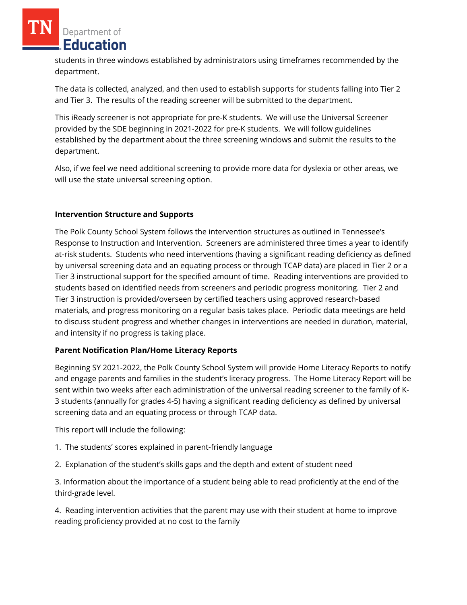Department of Education

students in three windows established by administrators using timeframes recommended by the department.

The data is collected, analyzed, and then used to establish supports for students falling into Tier 2 and Tier 3. The results of the reading screener will be submitted to the department.

This iReady screener is not appropriate for pre-K students. We will use the Universal Screener provided by the SDE beginning in 2021-2022 for pre-K students. We will follow guidelines established by the department about the three screening windows and submit the results to the department.

Also, if we feel we need additional screening to provide more data for dyslexia or other areas, we will use the state universal screening option.

# **Intervention Structure and Supports**

The Polk County School System follows the intervention structures as outlined in Tennessee's Response to Instruction and Intervention. Screeners are administered three times a year to identify at-risk students. Students who need interventions (having a significant reading deficiency as defined by universal screening data and an equating process or through TCAP data) are placed in Tier 2 or a Tier 3 instructional support for the specified amount of time. Reading interventions are provided to students based on identified needs from screeners and periodic progress monitoring. Tier 2 and Tier 3 instruction is provided/overseen by certified teachers using approved research-based materials, and progress monitoring on a regular basis takes place. Periodic data meetings are held to discuss student progress and whether changes in interventions are needed in duration, material, and intensity if no progress is taking place.

### **Parent Notification Plan/Home Literacy Reports**

Beginning SY 2021-2022, the Polk County School System will provide Home Literacy Reports to notify and engage parents and families in the student's literacy progress. The Home Literacy Report will be sent within two weeks after each administration of the universal reading screener to the family of K-3 students (annually for grades 4-5) having a significant reading deficiency as defined by universal screening data and an equating process or through TCAP data.

This report will include the following:

- 1. The students' scores explained in parent-friendly language
- 2. Explanation of the student's skills gaps and the depth and extent of student need

3. Information about the importance of a student being able to read proficiently at the end of the third-grade level.

4. Reading intervention activities that the parent may use with their student at home to improve reading proficiency provided at no cost to the family